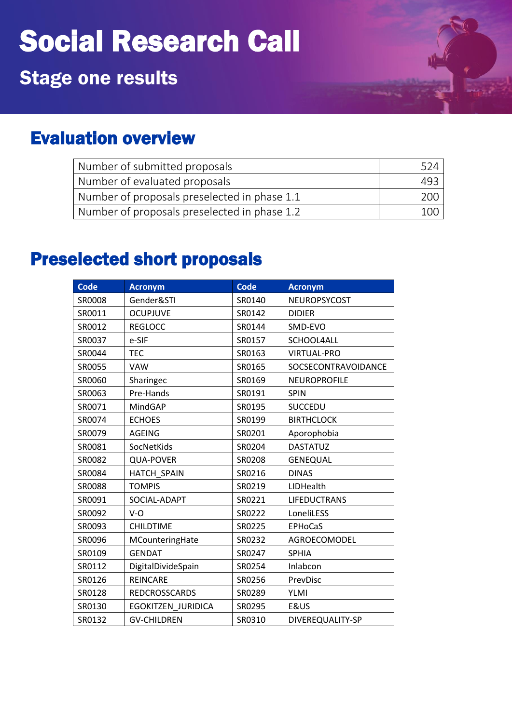## Social Research Call

## Stage one results

## Evaluation overview

| Number of submitted proposals                | 524  |
|----------------------------------------------|------|
| Number of evaluated proposals                | 493  |
| Number of proposals preselected in phase 1.1 | ാററ  |
| Number of proposals preselected in phase 1.2 | 100. |

## Preselected short proposals

| <b>Code</b> | <b>Acronym</b>       | <b>Code</b> | <b>Acronym</b>      |
|-------------|----------------------|-------------|---------------------|
| SR0008      | Gender&STI           | SR0140      | NEUROPSYCOST        |
| SR0011      | <b>OCUPJUVE</b>      | SR0142      | <b>DIDIER</b>       |
| SR0012      | <b>REGLOCC</b>       | SR0144      | SMD-EVO             |
| SR0037      | e-SIF                | SR0157      | SCHOOL4ALL          |
| SR0044      | <b>TEC</b>           | SR0163      | <b>VIRTUAL-PRO</b>  |
| SR0055      | <b>VAW</b>           | SR0165      | SOCSECONTRAVOIDANCE |
| SR0060      | Sharingec            | SR0169      | <b>NEUROPROFILE</b> |
| SR0063      | Pre-Hands            | SR0191      | <b>SPIN</b>         |
| SR0071      | MindGAP              | SR0195      | <b>SUCCEDU</b>      |
| SR0074      | <b>ECHOES</b>        | SR0199      | <b>BIRTHCLOCK</b>   |
| SR0079      | AGEING               | SR0201      | Aporophobia         |
| SR0081      | SocNetKids           | SR0204      | <b>DASTATUZ</b>     |
| SR0082      | <b>QUA-POVER</b>     | SR0208      | <b>GENEQUAL</b>     |
| SR0084      | <b>HATCH SPAIN</b>   | SR0216      | <b>DINAS</b>        |
| SR0088      | <b>TOMPIS</b>        | SR0219      | LIDHealth           |
| SR0091      | SOCIAL-ADAPT         | SR0221      | <b>LIFEDUCTRANS</b> |
| SR0092      | $V - O$              | SR0222      | LoneliLESS          |
| SR0093      | <b>CHILDTIME</b>     | SR0225      | <b>EPHoCaS</b>      |
| SR0096      | MCounteringHate      | SR0232      | AGROECOMODEL        |
| SR0109      | <b>GENDAT</b>        | SR0247      | <b>SPHIA</b>        |
| SR0112      | DigitalDivideSpain   | SR0254      | Inlabcon            |
| SR0126      | <b>REINCARE</b>      | SR0256      | PrevDisc            |
| SR0128      | <b>REDCROSSCARDS</b> | SR0289      | <b>YLMI</b>         |
| SR0130      | EGOKITZEN JURIDICA   | SR0295      | E&US                |
| SR0132      | <b>GV-CHILDREN</b>   | SR0310      | DIVEREQUALITY-SP    |